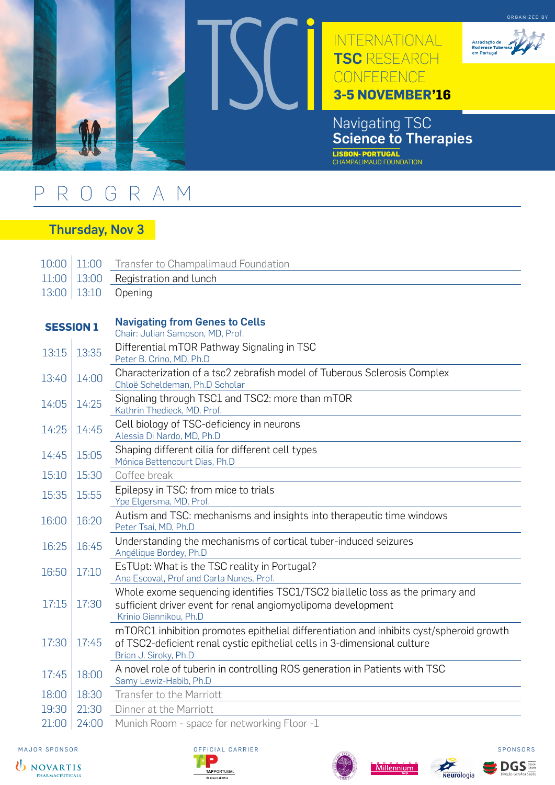

## PROGRAM

## Thursday, Nov 3

| 10:00            | 11:00 | Transfer to Champalimaud Foundation                                                                                                                                                          |
|------------------|-------|----------------------------------------------------------------------------------------------------------------------------------------------------------------------------------------------|
| 11:00            | 13:00 | Registration and lunch                                                                                                                                                                       |
| 13:00            | 13:10 | Opening                                                                                                                                                                                      |
|                  |       |                                                                                                                                                                                              |
| <b>SESSION 1</b> |       | <b>Navigating from Genes to Cells</b><br>Chair: Julian Sampson, MD, Prof.                                                                                                                    |
| 13:15            | 13:35 | Differential mTOR Pathway Signaling in TSC<br>Peter B. Crino, MD, Ph.D                                                                                                                       |
| 13:40            | 14:00 | Characterization of a tsc2 zebrafish model of Tuberous Sclerosis Complex<br>Chloë Scheldeman, Ph.D Scholar                                                                                   |
| 14:05            | 14:25 | Signaling through TSC1 and TSC2: more than mTOR<br>Kathrin Thedieck, MD, Prof.                                                                                                               |
| 14:25            | 14:45 | Cell biology of TSC-deficiency in neurons<br>Alessia Di Nardo, MD, Ph.D                                                                                                                      |
| 14:45            | 15:05 | Shaping different cilia for different cell types<br>Mónica Bettencourt Dias, Ph.D                                                                                                            |
| 15:10            | 15:30 | Coffee break                                                                                                                                                                                 |
| 15:35            | 15:55 | Epilepsy in TSC: from mice to trials<br>Ype Elgersma, MD, Prof.                                                                                                                              |
| 16:00            | 16:20 | Autism and TSC: mechanisms and insights into therapeutic time windows<br>Peter Tsai, MD, Ph.D                                                                                                |
| 16:25            | 16:45 | Understanding the mechanisms of cortical tuber-induced seizures<br>Angélique Bordey, Ph.D                                                                                                    |
| 16:50            | 17:10 | EsTUpt: What is the TSC reality in Portugal?<br>Ana Escoval, Prof and Carla Nunes, Prof.                                                                                                     |
| 17:15            | 17:30 | Whole exome sequencing identifies TSC1/TSC2 biallelic loss as the primary and<br>sufficient driver event for renal angiomyolipoma development<br>Krinio Giannikou, Ph.D                      |
| 17:30            | 17:45 | mTORC1 inhibition promotes epithelial differentiation and inhibits cyst/spheroid growth<br>of TSC2-deficient renal cystic epithelial cells in 3-dimensional culture<br>Brian J. Siroky, Ph.D |
| 17:45            | 18:00 | A novel role of tuberin in controlling ROS generation in Patients with TSC<br>Samy Lewiz-Habib, Ph.D                                                                                         |
| 18:00            | 18:30 | Transfer to the Marriott                                                                                                                                                                     |
| 19:30            | 21:30 | Dinner at the Marriott                                                                                                                                                                       |
| 21:00            | 24:00 | Munich Room - space for networking Floor -1                                                                                                                                                  |









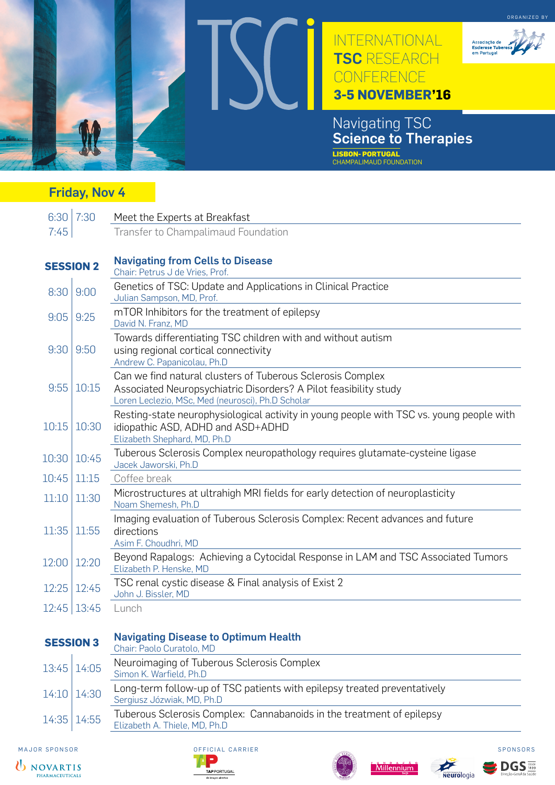

## Friday, Nov 4

|                  | $6:30$ 7:30 | Meet the Experts at Breakfast                                                                                                                                                       |
|------------------|-------------|-------------------------------------------------------------------------------------------------------------------------------------------------------------------------------------|
| 7:45             |             | Transfer to Champalimaud Foundation                                                                                                                                                 |
| <b>SESSION 2</b> |             | <b>Navigating from Cells to Disease</b><br>Chair: Petrus J de Vries, Prof.                                                                                                          |
| 8:30             | 9:00        | Genetics of TSC: Update and Applications in Clinical Practice<br>Julian Sampson, MD, Prof.                                                                                          |
| 9:05             | 9:25        | mTOR Inhibitors for the treatment of epilepsy<br>David N. Franz, MD                                                                                                                 |
| 9:30             | 9:50        | Towards differentiating TSC children with and without autism<br>using regional cortical connectivity<br>Andrew C. Papanicolau, Ph.D                                                 |
| 9:55             | 10:15       | Can we find natural clusters of Tuberous Sclerosis Complex<br>Associated Neuropsychiatric Disorders? A Pilot feasibility study<br>Loren Leclezio, MSc, Med (neurosci), Ph.D Scholar |
| 10:15            | 10:30       | Resting-state neurophysiological activity in young people with TSC vs. young people with<br>idiopathic ASD, ADHD and ASD+ADHD<br>Elizabeth Shephard, MD, Ph.D                       |
| 10:30            | 10:45       | Tuberous Sclerosis Complex neuropathology requires glutamate-cysteine ligase<br>Jacek Jaworski, Ph.D                                                                                |
| 10:45            | 11:15       | Coffee break                                                                                                                                                                        |
| 11:10            | 11:30       | Microstructures at ultrahigh MRI fields for early detection of neuroplasticity<br>Noam Shemesh, Ph.D                                                                                |
| 11:35            | 11:55       | Imaging evaluation of Tuberous Sclerosis Complex: Recent advances and future<br>directions<br>Asim F. Choudhri, MD                                                                  |
| 12:00            | 12:20       | Beyond Rapalogs: Achieving a Cytocidal Response in LAM and TSC Associated Tumors<br>Elizabeth P. Henske, MD                                                                         |
| 12:25            | 12:45       | TSC renal cystic disease & Final analysis of Exist 2<br>John J. Bissler, MD                                                                                                         |
| 12:45            | 13:45       | Lunch                                                                                                                                                                               |
| <b>SESSION 3</b> |             | <b>Navigating Disease to Optimum Health</b><br>Chair: Paolo Curatolo, MD                                                                                                            |
| 13:45            | 14:05       | Neuroimaging of Tuberous Sclerosis Complex<br>Simon K. Warfield, Ph.D                                                                                                               |
| 14:10            | 14:30       | Long-term follow-up of TSC patients with epilepsy treated preventatively<br>Sergiusz Józwiak, MD, Ph.D                                                                              |
| 14:35            | 14:55       | Tuberous Sclerosis Complex: Cannabanoids in the treatment of epilepsy<br>$ohath \wedge Thial \wedge M \cap Dh \cap$                                                                 |



MAJOR SPONSOR SPONSORS OFFICIAL CARRIER SPONSORS



Elizabeth A. Thiele, MD, Ph.D